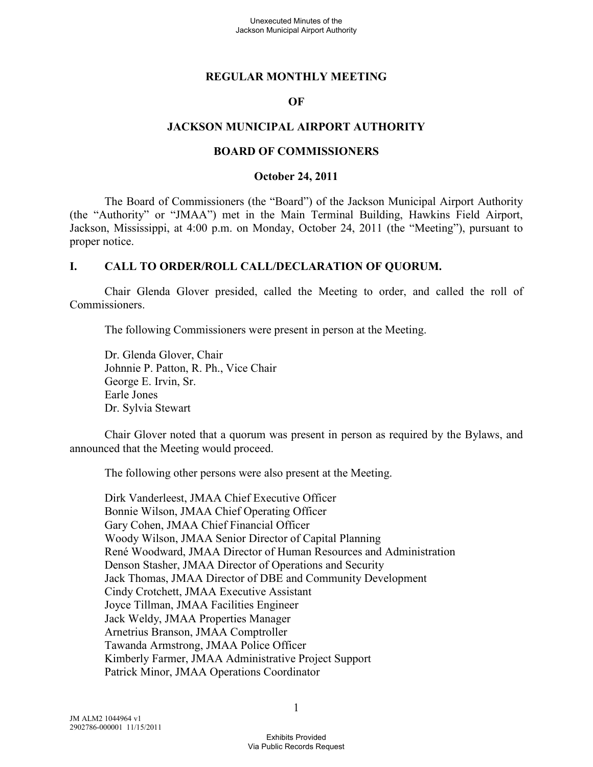#### **REGULAR MONTHLY MEETING**

#### **OF**

#### **JACKSON MUNICIPAL AIRPORT AUTHORITY**

#### **BOARD OF COMMISSIONERS**

#### **October 24, 2011**

The Board of Commissioners (the "Board") of the Jackson Municipal Airport Authority (the "Authority" or "JMAA") met in the Main Terminal Building, Hawkins Field Airport, Jackson, Mississippi, at 4:00 p.m. on Monday, October 24, 2011 (the "Meeting"), pursuant to proper notice.

#### **I. CALL TO ORDER/ROLL CALL/DECLARATION OF QUORUM.**

Chair Glenda Glover presided, called the Meeting to order, and called the roll of Commissioners.

The following Commissioners were present in person at the Meeting.

Dr. Glenda Glover, Chair Johnnie P. Patton, R. Ph., Vice Chair George E. Irvin, Sr. Earle Jones Dr. Sylvia Stewart

Chair Glover noted that a quorum was present in person as required by the Bylaws, and announced that the Meeting would proceed.

The following other persons were also present at the Meeting.

Dirk Vanderleest, JMAA Chief Executive Officer Bonnie Wilson, JMAA Chief Operating Officer Gary Cohen, JMAA Chief Financial Officer Woody Wilson, JMAA Senior Director of Capital Planning René Woodward, JMAA Director of Human Resources and Administration Denson Stasher, JMAA Director of Operations and Security Jack Thomas, JMAA Director of DBE and Community Development Cindy Crotchett, JMAA Executive Assistant Joyce Tillman, JMAA Facilities Engineer Jack Weldy, JMAA Properties Manager Arnetrius Branson, JMAA Comptroller Tawanda Armstrong, JMAA Police Officer Kimberly Farmer, JMAA Administrative Project Support Patrick Minor, JMAA Operations Coordinator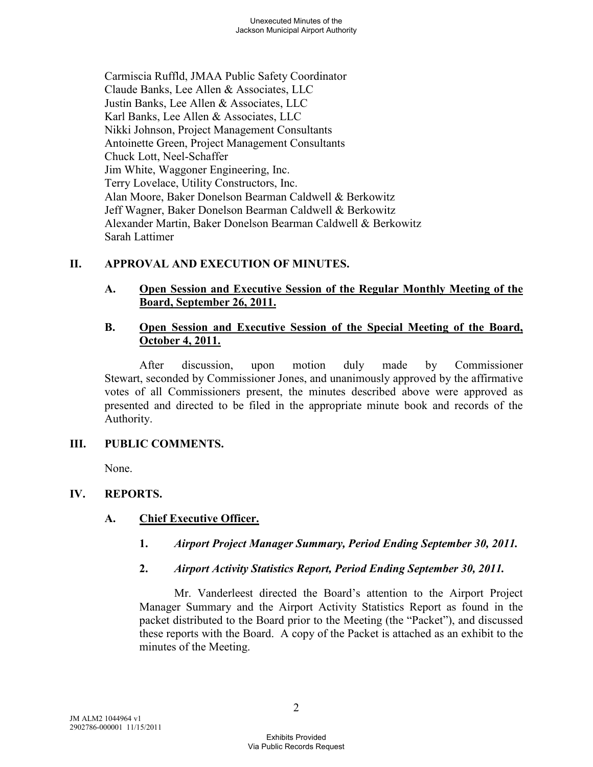Carmiscia Ruffld, JMAA Public Safety Coordinator Claude Banks, Lee Allen & Associates, LLC Justin Banks, Lee Allen & Associates, LLC Karl Banks, Lee Allen & Associates, LLC Nikki Johnson, Project Management Consultants Antoinette Green, Project Management Consultants Chuck Lott, Neel-Schaffer Jim White, Waggoner Engineering, Inc. Terry Lovelace, Utility Constructors, Inc. Alan Moore, Baker Donelson Bearman Caldwell & Berkowitz Jeff Wagner, Baker Donelson Bearman Caldwell & Berkowitz Alexander Martin, Baker Donelson Bearman Caldwell & Berkowitz Sarah Lattimer

#### **II. APPROVAL AND EXECUTION OF MINUTES.**

#### **A. Open Session and Executive Session of the Regular Monthly Meeting of the Board, September 26, 2011.**

#### **B. Open Session and Executive Session of the Special Meeting of the Board, October 4, 2011.**

After discussion, upon motion duly made by Commissioner Stewart, seconded by Commissioner Jones, and unanimously approved by the affirmative votes of all Commissioners present, the minutes described above were approved as presented and directed to be filed in the appropriate minute book and records of the Authority.

## **III. PUBLIC COMMENTS.**

None.

## **IV. REPORTS.**

## **A. Chief Executive Officer.**

- **1.** *Airport Project Manager Summary, Period Ending September 30, 2011.*
- **2.** *Airport Activity Statistics Report, Period Ending September 30, 2011.*

Mr. Vanderleest directed the Board's attention to the Airport Project Manager Summary and the Airport Activity Statistics Report as found in the packet distributed to the Board prior to the Meeting (the "Packet"), and discussed these reports with the Board. A copy of the Packet is attached as an exhibit to the minutes of the Meeting.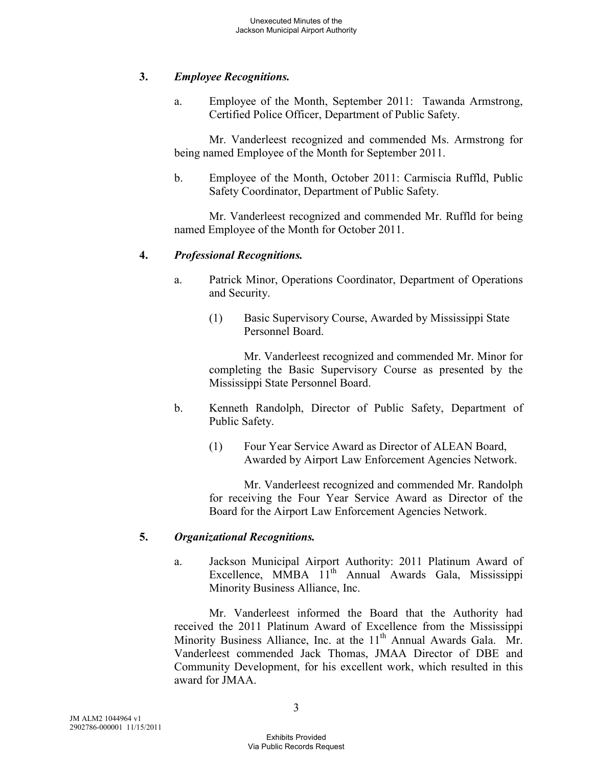## **3.** *Employee Recognitions.*

a. Employee of the Month, September 2011: Tawanda Armstrong, Certified Police Officer, Department of Public Safety.

Mr. Vanderleest recognized and commended Ms. Armstrong for being named Employee of the Month for September 2011.

b. Employee of the Month, October 2011: Carmiscia Ruffld, Public Safety Coordinator, Department of Public Safety.

Mr. Vanderleest recognized and commended Mr. Ruffld for being named Employee of the Month for October 2011.

#### **4.** *Professional Recognitions.*

- a. Patrick Minor, Operations Coordinator, Department of Operations and Security.
	- (1) Basic Supervisory Course, Awarded by Mississippi State Personnel Board.

Mr. Vanderleest recognized and commended Mr. Minor for completing the Basic Supervisory Course as presented by the Mississippi State Personnel Board.

- b. Kenneth Randolph, Director of Public Safety, Department of Public Safety.
	- (1) Four Year Service Award as Director of ALEAN Board, Awarded by Airport Law Enforcement Agencies Network.

Mr. Vanderleest recognized and commended Mr. Randolph for receiving the Four Year Service Award as Director of the Board for the Airport Law Enforcement Agencies Network.

## **5.** *Organizational Recognitions.*

a. Jackson Municipal Airport Authority: 2011 Platinum Award of Excellence, MMBA 11<sup>th</sup> Annual Awards Gala, Mississippi Minority Business Alliance, Inc.

Mr. Vanderleest informed the Board that the Authority had received the 2011 Platinum Award of Excellence from the Mississippi Minority Business Alliance, Inc. at the  $11<sup>th</sup>$  Annual Awards Gala. Mr. Vanderleest commended Jack Thomas, JMAA Director of DBE and Community Development, for his excellent work, which resulted in this award for JMAA.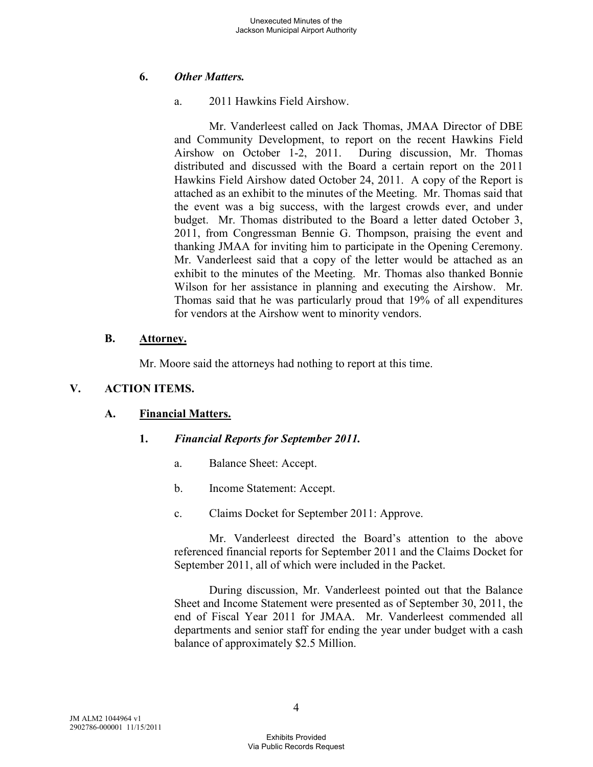## **6.** *Other Matters.*

a. 2011 Hawkins Field Airshow.

Mr. Vanderleest called on Jack Thomas, JMAA Director of DBE and Community Development, to report on the recent Hawkins Field Airshow on October 1-2, 2011. During discussion, Mr. Thomas distributed and discussed with the Board a certain report on the 2011 Hawkins Field Airshow dated October 24, 2011. A copy of the Report is attached as an exhibit to the minutes of the Meeting. Mr. Thomas said that the event was a big success, with the largest crowds ever, and under budget. Mr. Thomas distributed to the Board a letter dated October 3, 2011, from Congressman Bennie G. Thompson, praising the event and thanking JMAA for inviting him to participate in the Opening Ceremony. Mr. Vanderleest said that a copy of the letter would be attached as an exhibit to the minutes of the Meeting. Mr. Thomas also thanked Bonnie Wilson for her assistance in planning and executing the Airshow. Mr. Thomas said that he was particularly proud that 19% of all expenditures for vendors at the Airshow went to minority vendors.

## **B. Attorney.**

Mr. Moore said the attorneys had nothing to report at this time.

## **V. ACTION ITEMS.**

## **A. Financial Matters.**

## **1.** *Financial Reports for September 2011.*

- a. Balance Sheet: Accept.
- b. Income Statement: Accept.
- c. Claims Docket for September 2011: Approve.

Mr. Vanderleest directed the Board's attention to the above referenced financial reports for September 2011 and the Claims Docket for September 2011, all of which were included in the Packet.

During discussion, Mr. Vanderleest pointed out that the Balance Sheet and Income Statement were presented as of September 30, 2011, the end of Fiscal Year 2011 for JMAA. Mr. Vanderleest commended all departments and senior staff for ending the year under budget with a cash balance of approximately \$2.5 Million.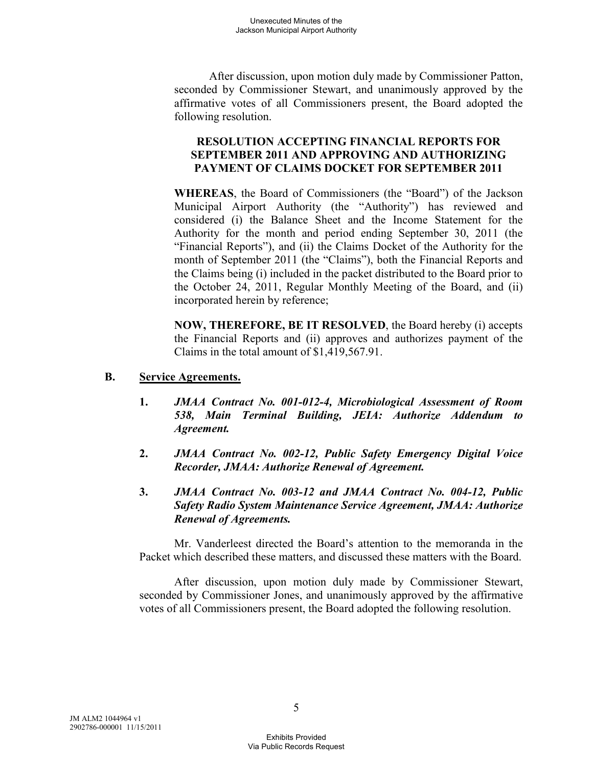After discussion, upon motion duly made by Commissioner Patton, seconded by Commissioner Stewart, and unanimously approved by the affirmative votes of all Commissioners present, the Board adopted the following resolution.

## **RESOLUTION ACCEPTING FINANCIAL REPORTS FOR SEPTEMBER 2011 AND APPROVING AND AUTHORIZING PAYMENT OF CLAIMS DOCKET FOR SEPTEMBER 2011**

**WHEREAS**, the Board of Commissioners (the "Board") of the Jackson Municipal Airport Authority (the "Authority") has reviewed and considered (i) the Balance Sheet and the Income Statement for the Authority for the month and period ending September 30, 2011 (the "Financial Reports"), and (ii) the Claims Docket of the Authority for the month of September 2011 (the "Claims"), both the Financial Reports and the Claims being (i) included in the packet distributed to the Board prior to the October 24, 2011, Regular Monthly Meeting of the Board, and (ii) incorporated herein by reference;

**NOW, THEREFORE, BE IT RESOLVED**, the Board hereby (i) accepts the Financial Reports and (ii) approves and authorizes payment of the Claims in the total amount of \$1,419,567.91.

#### **B. Service Agreements.**

- **1.** *JMAA Contract No. 001-012-4, Microbiological Assessment of Room 538, Main Terminal Building, JEIA: Authorize Addendum to Agreement.*
- **2.** *JMAA Contract No. 002-12, Public Safety Emergency Digital Voice Recorder, JMAA: Authorize Renewal of Agreement.*
- **3.** *JMAA Contract No. 003-12 and JMAA Contract No. 004-12, Public Safety Radio System Maintenance Service Agreement, JMAA: Authorize Renewal of Agreements.*

Mr. Vanderleest directed the Board's attention to the memoranda in the Packet which described these matters, and discussed these matters with the Board.

After discussion, upon motion duly made by Commissioner Stewart, seconded by Commissioner Jones, and unanimously approved by the affirmative votes of all Commissioners present, the Board adopted the following resolution.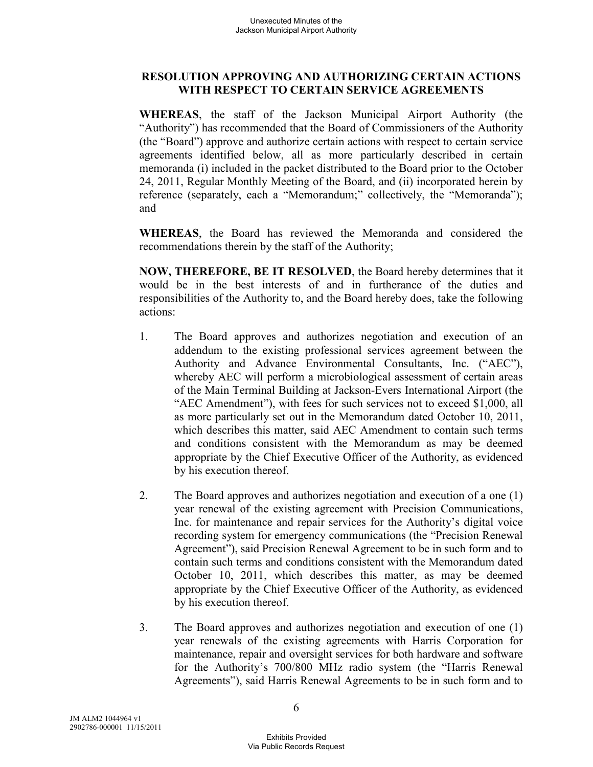#### **RESOLUTION APPROVING AND AUTHORIZING CERTAIN ACTIONS WITH RESPECT TO CERTAIN SERVICE AGREEMENTS**

**WHEREAS**, the staff of the Jackson Municipal Airport Authority (the "Authority") has recommended that the Board of Commissioners of the Authority (the "Board") approve and authorize certain actions with respect to certain service agreements identified below, all as more particularly described in certain memoranda (i) included in the packet distributed to the Board prior to the October 24, 2011, Regular Monthly Meeting of the Board, and (ii) incorporated herein by reference (separately, each a "Memorandum;" collectively, the "Memoranda"); and

**WHEREAS**, the Board has reviewed the Memoranda and considered the recommendations therein by the staff of the Authority;

**NOW, THEREFORE, BE IT RESOLVED**, the Board hereby determines that it would be in the best interests of and in furtherance of the duties and responsibilities of the Authority to, and the Board hereby does, take the following actions:

- 1. The Board approves and authorizes negotiation and execution of an addendum to the existing professional services agreement between the Authority and Advance Environmental Consultants, Inc. ("AEC"), whereby AEC will perform a microbiological assessment of certain areas of the Main Terminal Building at Jackson-Evers International Airport (the "AEC Amendment"), with fees for such services not to exceed \$1,000, all as more particularly set out in the Memorandum dated October 10, 2011, which describes this matter, said AEC Amendment to contain such terms and conditions consistent with the Memorandum as may be deemed appropriate by the Chief Executive Officer of the Authority, as evidenced by his execution thereof.
- 2. The Board approves and authorizes negotiation and execution of a one (1) year renewal of the existing agreement with Precision Communications, Inc. for maintenance and repair services for the Authority's digital voice recording system for emergency communications (the "Precision Renewal Agreement"), said Precision Renewal Agreement to be in such form and to contain such terms and conditions consistent with the Memorandum dated October 10, 2011, which describes this matter, as may be deemed appropriate by the Chief Executive Officer of the Authority, as evidenced by his execution thereof.
- 3. The Board approves and authorizes negotiation and execution of one (1) year renewals of the existing agreements with Harris Corporation for maintenance, repair and oversight services for both hardware and software for the Authority's 700/800 MHz radio system (the "Harris Renewal Agreements"), said Harris Renewal Agreements to be in such form and to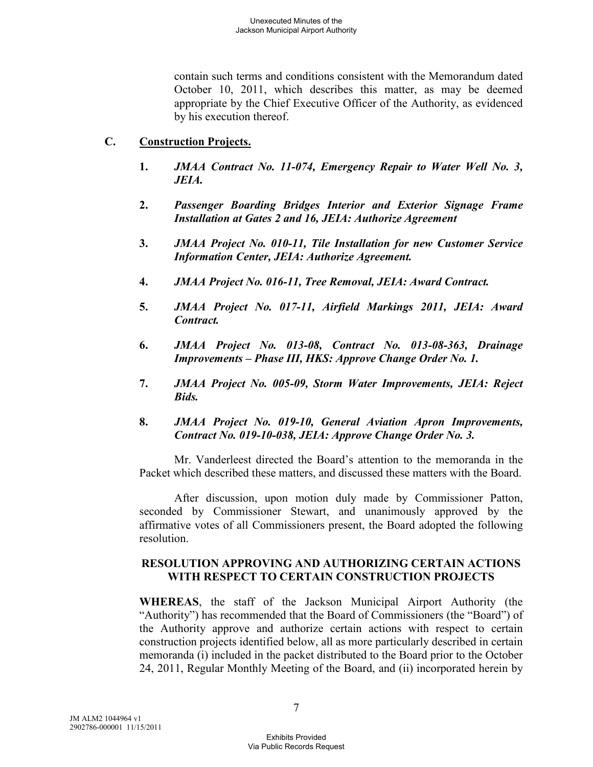contain such terms and conditions consistent with the Memorandum dated October 10, 2011, which describes this matter, as may be deemed appropriate by the Chief Executive Officer of the Authority, as evidenced by his execution thereof.

#### **C. Construction Projects.**

- **1.** *JMAA Contract No. 11-074, Emergency Repair to Water Well No. 3, JEIA.*
- **2.** *Passenger Boarding Bridges Interior and Exterior Signage Frame Installation at Gates 2 and 16, JEIA: Authorize Agreement*
- **3.** *JMAA Project No. 010-11, Tile Installation for new Customer Service Information Center, JEIA: Authorize Agreement.*
- **4.** *JMAA Project No. 016-11, Tree Removal, JEIA: Award Contract.*
- **5.** *JMAA Project No. 017-11, Airfield Markings 2011, JEIA: Award Contract.*
- **6.** *JMAA Project No. 013-08, Contract No. 013-08-363, Drainage Improvements – Phase III, HKS: Approve Change Order No. 1.*
- **7.** *JMAA Project No. 005-09, Storm Water Improvements, JEIA: Reject Bids.*
- **8.** *JMAA Project No. 019-10, General Aviation Apron Improvements, Contract No. 019-10-038, JEIA: Approve Change Order No. 3.*

Mr. Vanderleest directed the Board's attention to the memoranda in the Packet which described these matters, and discussed these matters with the Board.

After discussion, upon motion duly made by Commissioner Patton, seconded by Commissioner Stewart, and unanimously approved by the affirmative votes of all Commissioners present, the Board adopted the following resolution.

## **RESOLUTION APPROVING AND AUTHORIZING CERTAIN ACTIONS WITH RESPECT TO CERTAIN CONSTRUCTION PROJECTS**

**WHEREAS**, the staff of the Jackson Municipal Airport Authority (the "Authority") has recommended that the Board of Commissioners (the "Board") of the Authority approve and authorize certain actions with respect to certain construction projects identified below, all as more particularly described in certain memoranda (i) included in the packet distributed to the Board prior to the October 24, 2011, Regular Monthly Meeting of the Board, and (ii) incorporated herein by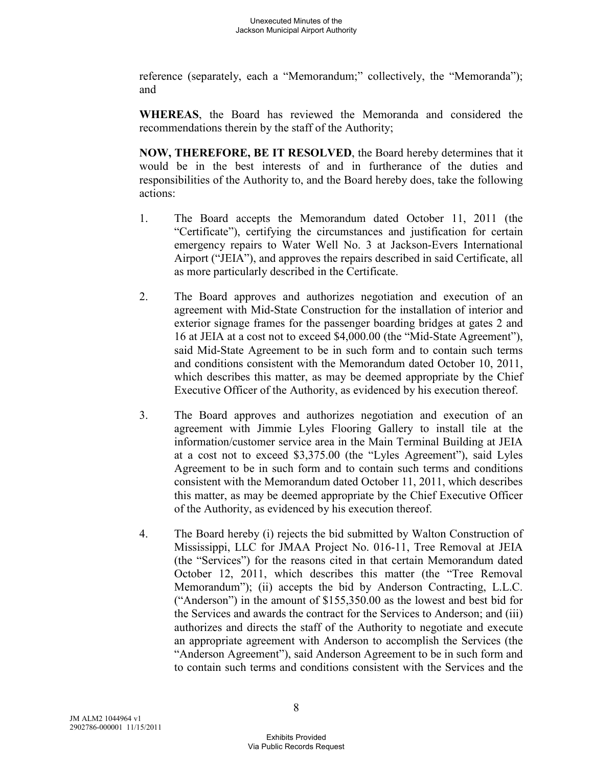reference (separately, each a "Memorandum;" collectively, the "Memoranda"); and

**WHEREAS**, the Board has reviewed the Memoranda and considered the recommendations therein by the staff of the Authority;

**NOW, THEREFORE, BE IT RESOLVED**, the Board hereby determines that it would be in the best interests of and in furtherance of the duties and responsibilities of the Authority to, and the Board hereby does, take the following actions:

- 1. The Board accepts the Memorandum dated October 11, 2011 (the "Certificate"), certifying the circumstances and justification for certain emergency repairs to Water Well No. 3 at Jackson-Evers International Airport ("JEIA"), and approves the repairs described in said Certificate, all as more particularly described in the Certificate.
- 2. The Board approves and authorizes negotiation and execution of an agreement with Mid-State Construction for the installation of interior and exterior signage frames for the passenger boarding bridges at gates 2 and 16 at JEIA at a cost not to exceed \$4,000.00 (the "Mid-State Agreement"), said Mid-State Agreement to be in such form and to contain such terms and conditions consistent with the Memorandum dated October 10, 2011, which describes this matter, as may be deemed appropriate by the Chief Executive Officer of the Authority, as evidenced by his execution thereof.
- 3. The Board approves and authorizes negotiation and execution of an agreement with Jimmie Lyles Flooring Gallery to install tile at the information/customer service area in the Main Terminal Building at JEIA at a cost not to exceed \$3,375.00 (the "Lyles Agreement"), said Lyles Agreement to be in such form and to contain such terms and conditions consistent with the Memorandum dated October 11, 2011, which describes this matter, as may be deemed appropriate by the Chief Executive Officer of the Authority, as evidenced by his execution thereof.
- 4. The Board hereby (i) rejects the bid submitted by Walton Construction of Mississippi, LLC for JMAA Project No. 016-11, Tree Removal at JEIA (the "Services") for the reasons cited in that certain Memorandum dated October 12, 2011, which describes this matter (the "Tree Removal Memorandum"); (ii) accepts the bid by Anderson Contracting, L.L.C. ("Anderson") in the amount of \$155,350.00 as the lowest and best bid for the Services and awards the contract for the Services to Anderson; and (iii) authorizes and directs the staff of the Authority to negotiate and execute an appropriate agreement with Anderson to accomplish the Services (the "Anderson Agreement"), said Anderson Agreement to be in such form and to contain such terms and conditions consistent with the Services and the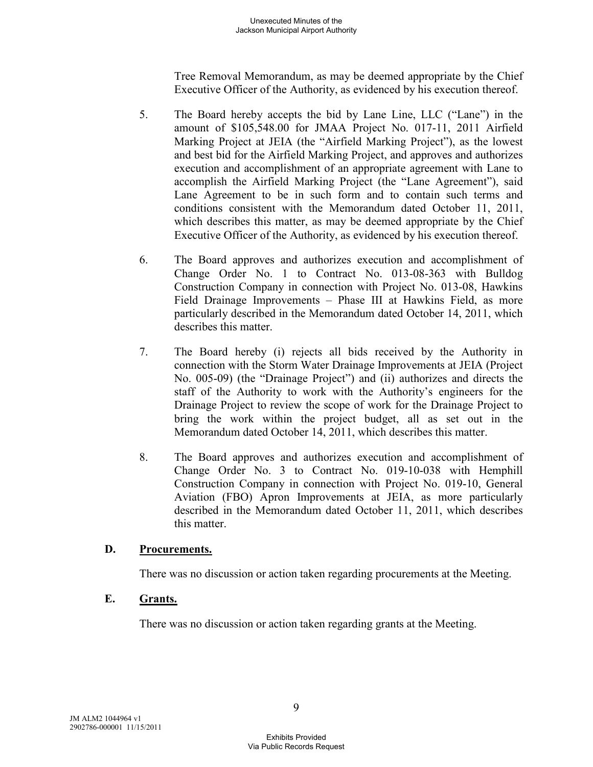Tree Removal Memorandum, as may be deemed appropriate by the Chief Executive Officer of the Authority, as evidenced by his execution thereof.

- 5. The Board hereby accepts the bid by Lane Line, LLC ("Lane") in the amount of \$105,548.00 for JMAA Project No. 017-11, 2011 Airfield Marking Project at JEIA (the "Airfield Marking Project"), as the lowest and best bid for the Airfield Marking Project, and approves and authorizes execution and accomplishment of an appropriate agreement with Lane to accomplish the Airfield Marking Project (the "Lane Agreement"), said Lane Agreement to be in such form and to contain such terms and conditions consistent with the Memorandum dated October 11, 2011, which describes this matter, as may be deemed appropriate by the Chief Executive Officer of the Authority, as evidenced by his execution thereof.
- 6. The Board approves and authorizes execution and accomplishment of Change Order No. 1 to Contract No. 013-08-363 with Bulldog Construction Company in connection with Project No. 013-08, Hawkins Field Drainage Improvements – Phase III at Hawkins Field, as more particularly described in the Memorandum dated October 14, 2011, which describes this matter.
- 7. The Board hereby (i) rejects all bids received by the Authority in connection with the Storm Water Drainage Improvements at JEIA (Project No. 005-09) (the "Drainage Project") and (ii) authorizes and directs the staff of the Authority to work with the Authority's engineers for the Drainage Project to review the scope of work for the Drainage Project to bring the work within the project budget, all as set out in the Memorandum dated October 14, 2011, which describes this matter.
- 8. The Board approves and authorizes execution and accomplishment of Change Order No. 3 to Contract No. 019-10-038 with Hemphill Construction Company in connection with Project No. 019-10, General Aviation (FBO) Apron Improvements at JEIA, as more particularly described in the Memorandum dated October 11, 2011, which describes this matter.

## **D. Procurements.**

There was no discussion or action taken regarding procurements at the Meeting.

## **E. Grants.**

There was no discussion or action taken regarding grants at the Meeting.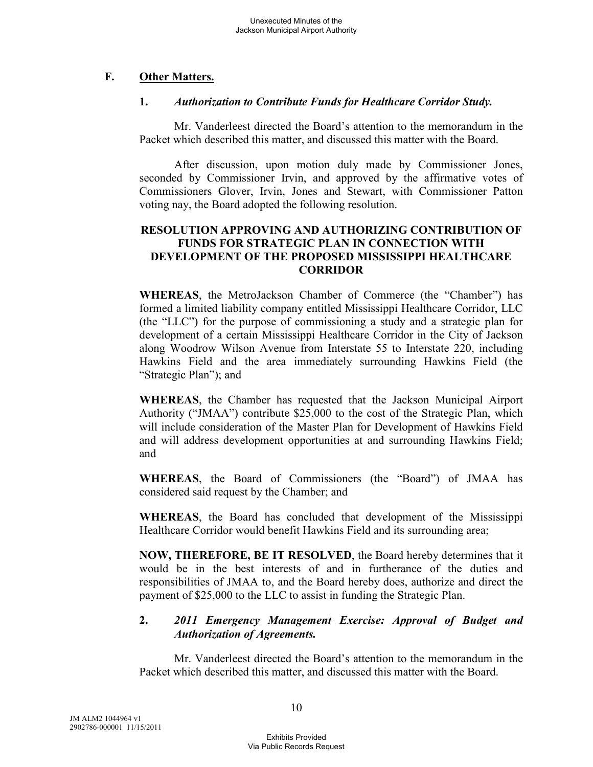# **F. Other Matters.**

#### **1.** *Authorization to Contribute Funds for Healthcare Corridor Study.*

Mr. Vanderleest directed the Board's attention to the memorandum in the Packet which described this matter, and discussed this matter with the Board.

After discussion, upon motion duly made by Commissioner Jones, seconded by Commissioner Irvin, and approved by the affirmative votes of Commissioners Glover, Irvin, Jones and Stewart, with Commissioner Patton voting nay, the Board adopted the following resolution.

#### **RESOLUTION APPROVING AND AUTHORIZING CONTRIBUTION OF FUNDS FOR STRATEGIC PLAN IN CONNECTION WITH DEVELOPMENT OF THE PROPOSED MISSISSIPPI HEALTHCARE CORRIDOR**

**WHEREAS**, the MetroJackson Chamber of Commerce (the "Chamber") has formed a limited liability company entitled Mississippi Healthcare Corridor, LLC (the "LLC") for the purpose of commissioning a study and a strategic plan for development of a certain Mississippi Healthcare Corridor in the City of Jackson along Woodrow Wilson Avenue from Interstate 55 to Interstate 220, including Hawkins Field and the area immediately surrounding Hawkins Field (the "Strategic Plan"); and

**WHEREAS**, the Chamber has requested that the Jackson Municipal Airport Authority ("JMAA") contribute \$25,000 to the cost of the Strategic Plan, which will include consideration of the Master Plan for Development of Hawkins Field and will address development opportunities at and surrounding Hawkins Field; and

**WHEREAS**, the Board of Commissioners (the "Board") of JMAA has considered said request by the Chamber; and

**WHEREAS**, the Board has concluded that development of the Mississippi Healthcare Corridor would benefit Hawkins Field and its surrounding area;

**NOW, THEREFORE, BE IT RESOLVED**, the Board hereby determines that it would be in the best interests of and in furtherance of the duties and responsibilities of JMAA to, and the Board hereby does, authorize and direct the payment of \$25,000 to the LLC to assist in funding the Strategic Plan.

## **2.** *2011 Emergency Management Exercise: Approval of Budget and Authorization of Agreements.*

Mr. Vanderleest directed the Board's attention to the memorandum in the Packet which described this matter, and discussed this matter with the Board.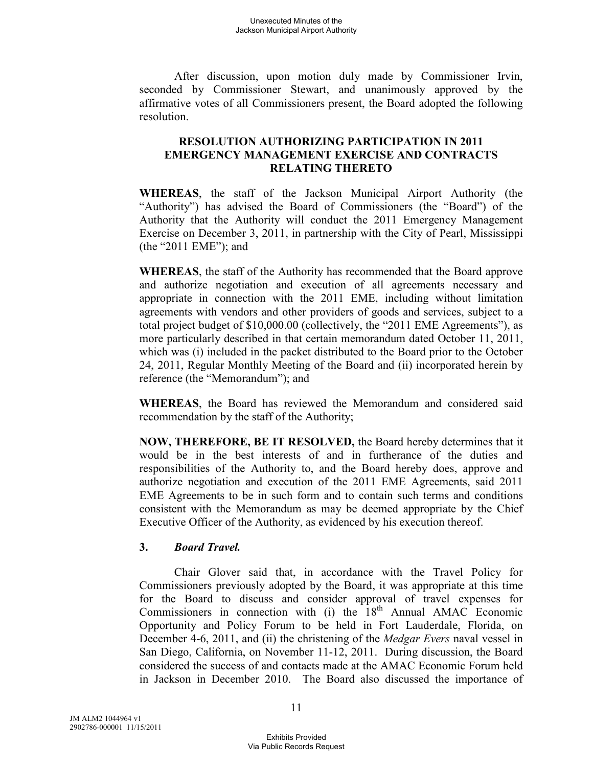After discussion, upon motion duly made by Commissioner Irvin, seconded by Commissioner Stewart, and unanimously approved by the affirmative votes of all Commissioners present, the Board adopted the following resolution.

#### **RESOLUTION AUTHORIZING PARTICIPATION IN 2011 EMERGENCY MANAGEMENT EXERCISE AND CONTRACTS RELATING THERETO**

**WHEREAS**, the staff of the Jackson Municipal Airport Authority (the "Authority") has advised the Board of Commissioners (the "Board") of the Authority that the Authority will conduct the 2011 Emergency Management Exercise on December 3, 2011, in partnership with the City of Pearl, Mississippi (the "2011 EME"); and

**WHEREAS**, the staff of the Authority has recommended that the Board approve and authorize negotiation and execution of all agreements necessary and appropriate in connection with the 2011 EME, including without limitation agreements with vendors and other providers of goods and services, subject to a total project budget of \$10,000.00 (collectively, the "2011 EME Agreements"), as more particularly described in that certain memorandum dated October 11, 2011, which was (i) included in the packet distributed to the Board prior to the October 24, 2011, Regular Monthly Meeting of the Board and (ii) incorporated herein by reference (the "Memorandum"); and

**WHEREAS**, the Board has reviewed the Memorandum and considered said recommendation by the staff of the Authority;

**NOW, THEREFORE, BE IT RESOLVED,** the Board hereby determines that it would be in the best interests of and in furtherance of the duties and responsibilities of the Authority to, and the Board hereby does, approve and authorize negotiation and execution of the 2011 EME Agreements, said 2011 EME Agreements to be in such form and to contain such terms and conditions consistent with the Memorandum as may be deemed appropriate by the Chief Executive Officer of the Authority, as evidenced by his execution thereof.

#### **3.** *Board Travel.*

Chair Glover said that, in accordance with the Travel Policy for Commissioners previously adopted by the Board, it was appropriate at this time for the Board to discuss and consider approval of travel expenses for Commissioners in connection with (i) the  $18<sup>th</sup>$  Annual AMAC Economic Opportunity and Policy Forum to be held in Fort Lauderdale, Florida, on December 4-6, 2011, and (ii) the christening of the *Medgar Evers* naval vessel in San Diego, California, on November 11-12, 2011. During discussion, the Board considered the success of and contacts made at the AMAC Economic Forum held in Jackson in December 2010. The Board also discussed the importance of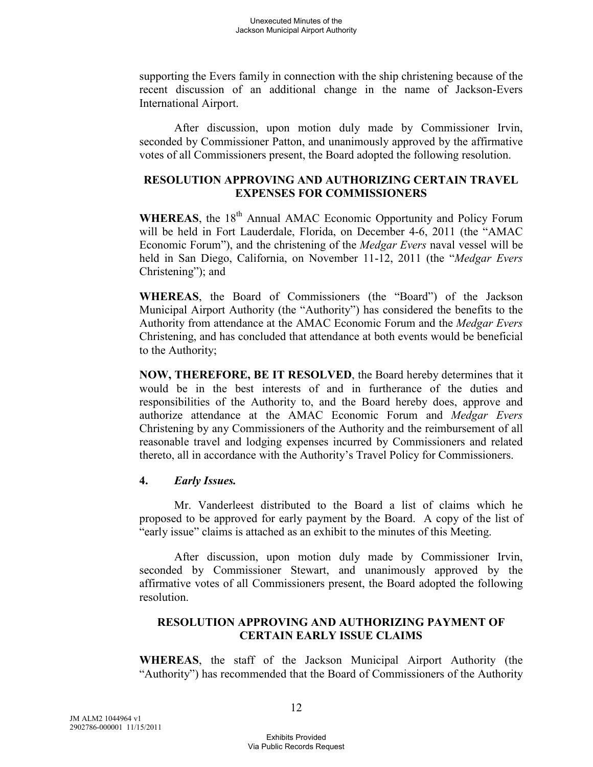supporting the Evers family in connection with the ship christening because of the recent discussion of an additional change in the name of Jackson-Evers International Airport.

After discussion, upon motion duly made by Commissioner Irvin, seconded by Commissioner Patton, and unanimously approved by the affirmative votes of all Commissioners present, the Board adopted the following resolution.

## **RESOLUTION APPROVING AND AUTHORIZING CERTAIN TRAVEL EXPENSES FOR COMMISSIONERS**

WHEREAS, the 18<sup>th</sup> Annual AMAC Economic Opportunity and Policy Forum will be held in Fort Lauderdale, Florida, on December 4-6, 2011 (the "AMAC Economic Forum"), and the christening of the *Medgar Evers* naval vessel will be held in San Diego, California, on November 11-12, 2011 (the "*Medgar Evers* Christening"); and

**WHEREAS**, the Board of Commissioners (the "Board") of the Jackson Municipal Airport Authority (the "Authority") has considered the benefits to the Authority from attendance at the AMAC Economic Forum and the *Medgar Evers*  Christening, and has concluded that attendance at both events would be beneficial to the Authority;

**NOW, THEREFORE, BE IT RESOLVED**, the Board hereby determines that it would be in the best interests of and in furtherance of the duties and responsibilities of the Authority to, and the Board hereby does, approve and authorize attendance at the AMAC Economic Forum and *Medgar Evers*  Christening by any Commissioners of the Authority and the reimbursement of all reasonable travel and lodging expenses incurred by Commissioners and related thereto, all in accordance with the Authority's Travel Policy for Commissioners.

## **4.** *Early Issues.*

Mr. Vanderleest distributed to the Board a list of claims which he proposed to be approved for early payment by the Board. A copy of the list of "early issue" claims is attached as an exhibit to the minutes of this Meeting.

After discussion, upon motion duly made by Commissioner Irvin, seconded by Commissioner Stewart, and unanimously approved by the affirmative votes of all Commissioners present, the Board adopted the following resolution.

#### **RESOLUTION APPROVING AND AUTHORIZING PAYMENT OF CERTAIN EARLY ISSUE CLAIMS**

**WHEREAS**, the staff of the Jackson Municipal Airport Authority (the "Authority") has recommended that the Board of Commissioners of the Authority